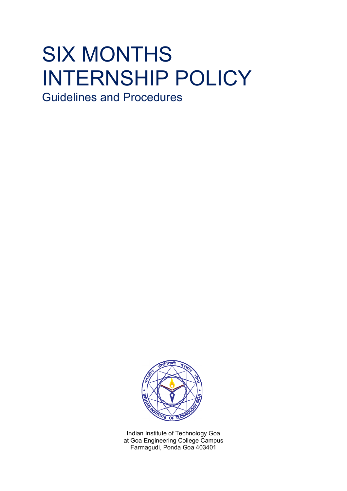# SIX MONTHS INTERNSHIP POLICY

Guidelines and Procedures



Indian Institute of Technology Goa at Goa Engineering College Campus Farmagudi, Ponda Goa 403401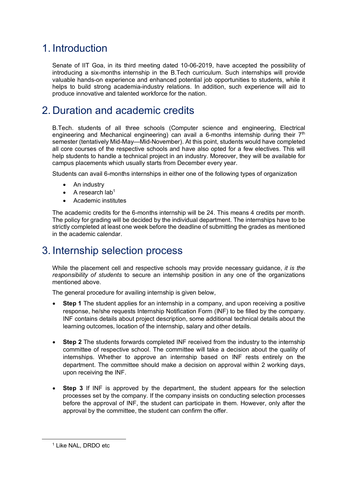## 1. Introduction

Senate of IIT Goa, in its third meeting dated 10-06-2019, have accepted the possibility of introducing a six-months internship in the B.Tech curriculum. Such internships will provide valuable hands-on experience and enhanced potential job opportunities to students, while it helps to build strong academia-industry relations. In addition, such experience will aid to produce innovative and talented workforce for the nation.

## 2. Duration and academic credits

B.Tech. students of all three schools (Computer science and engineering, Electrical engineering and Mechanical engineering) can avail a 6-months internship during their  $7<sup>th</sup>$ semester (tentatively Mid-May—Mid-November). At this point, students would have completed all core courses of the respective schools and have also opted for a few electives. This will help students to handle a technical project in an industry. Moreover, they will be available for campus placements which usually starts from December every year.

Students can avail 6-months internships in either one of the following types of organization

- An industry
- A research  $lab<sup>1</sup>$
- Academic institutes

The academic credits for the 6-months internship will be 24. This means 4 credits per month. The policy for grading will be decided by the individual department. The internships have to be strictly completed at least one week before the deadline of submitting the grades as mentioned in the academic calendar.

### 3. Internship selection process

While the placement cell and respective schools may provide necessary guidance, *it is the responsibility of students* to secure an internship position in any one of the organizations mentioned above.

The general procedure for availing internship is given below,

- **Step 1** The student applies for an internship in a company, and upon receiving a positive response, he/she requests Internship Notification Form (INF) to be filled by the company. INF contains details about project description, some additional technical details about the learning outcomes, location of the internship, salary and other details.
- **Step 2** The students forwards completed INF received from the industry to the internship committee of respective school. The committee will take a decision about the quality of internships. Whether to approve an internship based on INF rests entirely on the department. The committee should make a decision on approval within 2 working days, upon receiving the INF.
- **Step 3** If INF is approved by the department, the student appears for the selection processes set by the company. If the company insists on conducting selection processes before the approval of INF, the student can participate in them. However, only after the approval by the committee, the student can confirm the offer.

 $\overline{a}$ 

<sup>1</sup> Like NAL, DRDO etc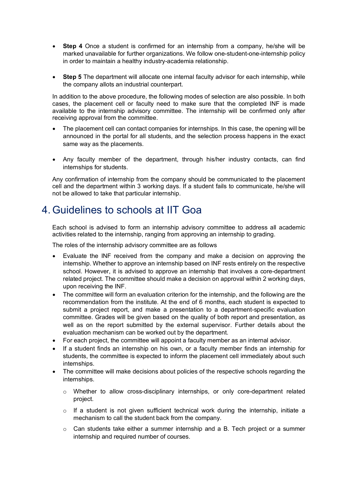- **Step 4** Once a student is confirmed for an internship from a company, he/she will be marked unavailable for further organizations. We follow one-student-one-internship policy in order to maintain a healthy industry-academia relationship.
- **Step 5** The department will allocate one internal faculty advisor for each internship, while the company allots an industrial counterpart.

In addition to the above procedure, the following modes of selection are also possible. In both cases, the placement cell or faculty need to make sure that the completed INF is made available to the internship advisory committee. The internship will be confirmed only after receiving approval from the committee.

- The placement cell can contact companies for internships. In this case, the opening will be announced in the portal for all students, and the selection process happens in the exact same way as the placements.
- Any faculty member of the department, through his/her industry contacts, can find internships for students.

Any confirmation of internship from the company should be communicated to the placement cell and the department within 3 working days. If a student fails to communicate, he/she will not be allowed to take that particular internship.

## 4. Guidelines to schools at IIT Goa

Each school is advised to form an internship advisory committee to address all academic activities related to the internship, ranging from approving an internship to grading.

The roles of the internship advisory committee are as follows

- Evaluate the INF received from the company and make a decision on approving the internship. Whether to approve an internship based on INF rests entirely on the respective school. However, it is advised to approve an internship that involves a core-department related project. The committee should make a decision on approval within 2 working days, upon receiving the INF.
- The committee will form an evaluation criterion for the internship, and the following are the recommendation from the institute. At the end of 6 months, each student is expected to submit a project report, and make a presentation to a department-specific evaluation committee. Grades will be given based on the quality of both report and presentation, as well as on the report submitted by the external supervisor. Further details about the evaluation mechanism can be worked out by the department.
- For each project, the committee will appoint a faculty member as an internal advisor.
- If a student finds an internship on his own, or a faculty member finds an internship for students, the committee is expected to inform the placement cell immediately about such internships.
- The committee will make decisions about policies of the respective schools regarding the internships.
	- $\circ$  Whether to allow cross-disciplinary internships, or only core-department related project.
	- $\circ$  If a student is not given sufficient technical work during the internship, initiate a mechanism to call the student back from the company.
	- $\circ$  Can students take either a summer internship and a B. Tech project or a summer internship and required number of courses.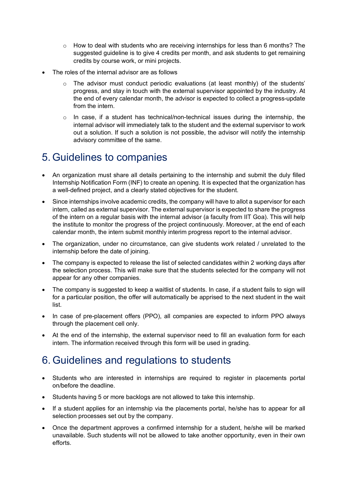- $\circ$  How to deal with students who are receiving internships for less than 6 months? The suggested guideline is to give 4 credits per month, and ask students to get remaining credits by course work, or mini projects.
- The roles of the internal advisor are as follows
	- $\circ$  The advisor must conduct periodic evaluations (at least monthly) of the students' progress, and stay in touch with the external supervisor appointed by the industry. At the end of every calendar month, the advisor is expected to collect a progress-update from the intern.
	- $\circ$  In case, if a student has technical/non-technical issues during the internship, the internal advisor will immediately talk to the student and the external supervisor to work out a solution. If such a solution is not possible, the advisor will notify the internship advisory committee of the same.

#### 5. Guidelines to companies

- An organization must share all details pertaining to the internship and submit the duly filled Internship Notification Form (INF) to create an opening. It is expected that the organization has a well-defined project, and a clearly stated objectives for the student.
- Since internships involve academic credits, the company will have to allot a supervisor for each intern, called as external supervisor. The external supervisor is expected to share the progress of the intern on a regular basis with the internal advisor (a faculty from IIT Goa). This will help the institute to monitor the progress of the project continuously. Moreover, at the end of each calendar month, the intern submit monthly interim progress report to the internal advisor.
- The organization, under no circumstance, can give students work related / unrelated to the internship before the date of joining.
- The company is expected to release the list of selected candidates within 2 working days after the selection process. This will make sure that the students selected for the company will not appear for any other companies.
- The company is suggested to keep a waitlist of students. In case, if a student fails to sign will for a particular position, the offer will automatically be apprised to the next student in the wait list.
- In case of pre-placement offers (PPO), all companies are expected to inform PPO always through the placement cell only.
- At the end of the internship, the external supervisor need to fill an evaluation form for each intern. The information received through this form will be used in grading.

## 6. Guidelines and regulations to students

- Students who are interested in internships are required to register in placements portal on/before the deadline.
- Students having 5 or more backlogs are not allowed to take this internship.
- If a student applies for an internship via the placements portal, he/she has to appear for all selection processes set out by the company.
- Once the department approves a confirmed internship for a student, he/she will be marked unavailable. Such students will not be allowed to take another opportunity, even in their own efforts.